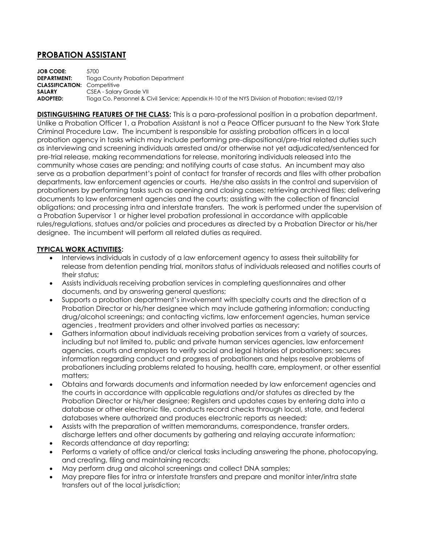## **PROBATION ASSISTANT**

**JOB CODE:** 5700 **DEPARTMENT:** Tioga County Probation Department **CLASSIFICATION:** Competitive **SALARY** CSEA - Salary Grade VII **ADOPTED:** Tioga Co. Personnel & Civil Service; Appendix H-10 of the NYS Division of Probation; revised 02/19

**DISTINGUISHING FEATURES OF THE CLASS:** This is a para-professional position in a probation department. Unlike a Probation Officer 1, a Probation Assistant is not a Peace Officer pursuant to the New York State Criminal Procedure Law. The incumbent is responsible for assisting probation officers in a local probation agency in tasks which may include performing pre-dispositional/pre-trial related duties such as interviewing and screening individuals arrested and/or otherwise not yet adjudicated/sentenced for pre-trial release, making recommendations for release, monitoring individuals released into the community whose cases are pending; and notifying courts of case status. An incumbent may also serve as a probation department's point of contact for transfer of records and files with other probation departments, law enforcement agencies or courts. He/she also assists in the control and supervision of probationers by performing tasks such as opening and closing cases; retrieving archived files; delivering documents to law enforcement agencies and the courts; assisting with the collection of financial obligations; and processing intra and interstate transfers. The work is performed under the supervision of a Probation Supervisor 1 or higher level probation professional in accordance with applicable rules/regulations, statues and/or policies and procedures as directed by a Probation Director or his/her designee. The incumbent will perform all related duties as required.

## **TYPICAL WORK ACTIVITIES:**

- Interviews individuals in custody of a law enforcement agency to assess their suitability for release from detention pending trial, monitors status of individuals released and notifies courts of their status;
- Assists individuals receiving probation services in completing questionnaires and other documents, and by answering general questions;
- Supports a probation department's involvement with specialty courts and the direction of a Probation Director or his/her designee which may include gathering information; conducting drug/alcohol screenings; and contacting victims, law enforcement agencies, human service agencies , treatment providers and other involved parties as necessary;
- Gathers information about individuals receiving probation services from a variety of sources, including but not limited to, public and private human services agencies, law enforcement agencies, courts and employers to verify social and legal histories of probationers; secures information regarding conduct and progress of probationers and helps resolve problems of probationers including problems related to housing, health care, employment, or other essential matters;
- Obtains and forwards documents and information needed by law enforcement agencies and the courts in accordance with applicable regulations and/or statutes as directed by the Probation Director or his/her designee; Registers and updates cases by entering data into a database or other electronic file, conducts record checks through local, state, and federal databases where authorized and produces electronic reports as needed;
- Assists with the preparation of written memorandums, correspondence, transfer orders, discharge letters and other documents by gathering and relaying accurate information;
- Records attendance at day reporting;
- Performs a variety of office and/or clerical tasks including answering the phone, photocopying, and creating, filing and maintaining records;
- May perform drug and alcohol screenings and collect DNA samples;
- May prepare files for intra or interstate transfers and prepare and monitor inter/intra state transfers out of the local jurisdiction;